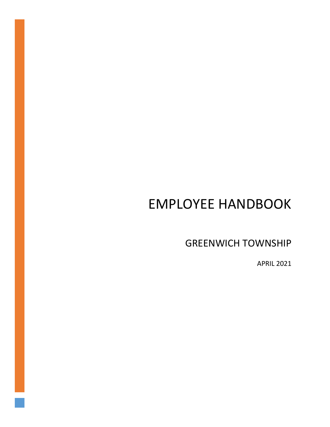# EMPLOYEE HANDBOOK

GREENWICH TOWNSHIP

APRIL 2021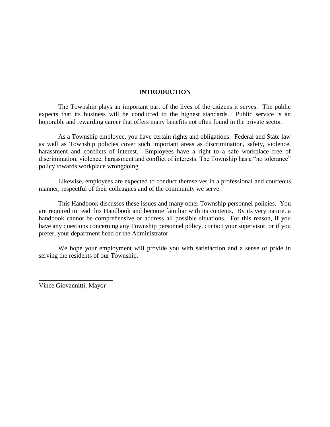#### **INTRODUCTION**

The Township plays an important part of the lives of the citizens it serves. The public expects that its business will be conducted to the highest standards. Public service is an honorable and rewarding career that offers many benefits not often found in the private sector.

As a Township employee, you have certain rights and obligations. Federal and State law as well as Township policies cover such important areas as discrimination, safety, violence, harassment and conflicts of interest. Employees have a right to a safe workplace free of discrimination, violence, harassment and conflict of interests. The Township has a "no tolerance" policy towards workplace wrongdoing.

Likewise, employees are expected to conduct themselves in a professional and courteous manner, respectful of their colleagues and of the community we serve.

This Handbook discusses these issues and many other Township personnel policies. You are required to read this Handbook and become familiar with its contents. By its very nature, a handbook cannot be comprehensive or address all possible situations. For this reason, if you have any questions concerning any Township personnel policy, contact your supervisor, or if you prefer, your department head or the Administrator.

We hope your employment will provide you with satisfaction and a sense of pride in serving the residents of our Township.

Vince Giovannitti, Mayor

\_\_\_\_\_\_\_\_\_\_\_\_\_\_\_\_\_\_\_\_\_\_\_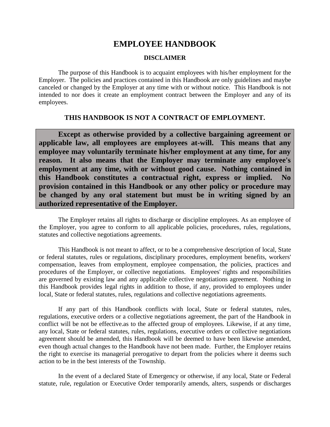# **EMPLOYEE HANDBOOK**

#### **DISCLAIMER**

The purpose of this Handbook is to acquaint employees with his/her employment for the Employer. The policies and practices contained in this Handbook are only guidelines and maybe canceled or changed by the Employer at any time with or without notice. This Handbook is not intended to nor does it create an employment contract between the Employer and any of its employees.

#### **THIS HANDBOOK IS NOT A CONTRACT OF EMPLOYMENT.**

**Except as otherwise provided by a collective bargaining agreement or applicable law, all employees are employees at-will. This means that any employee may voluntarily terminate his/her employment at any time, for any reason. It also means that the Employer may terminate any employee's employment at any time, with or without good cause. Nothing contained in**  this Handbook constitutes a contractual right, express or implied. **provision contained in this Handbook or any other policy or procedure may be changed by any oral statement but must be in writing signed by an authorized representative of the Employer.**

The Employer retains all rights to discharge or discipline employees. As an employee of the Employer, you agree to conform to all applicable policies, procedures, rules, regulations, statutes and collective negotiations agreements.

This Handbook is not meant to affect, or to be a comprehensive description of local, State or federal statutes, rules or regulations, disciplinary procedures, employment benefits, workers' compensation, leaves from employment, employee compensation, the policies, practices and procedures of the Employer, or collective negotiations. Employees' rights and responsibilities are governed by existing law and any applicable collective negotiations agreement. Nothing in this Handbook provides legal rights in addition to those, if any, provided to employees under local, State or federal statutes, rules, regulations and collective negotiations agreements.

If any part of this Handbook conflicts with local, State or federal statutes, rules, regulations, executive orders or a collective negotiations agreement, the part of the Handbook in conflict will be not be effective.as to the affected group of employees. Likewise, if at any time, any local, State or federal statutes, rules, regulations, executive orders or collective negotiations agreement should be amended, this Handbook will be deemed to have been likewise amended, even though actual changes to the Handbook have not been made. Further, the Employer retains the right to exercise its managerial prerogative to depart from the policies where it deems such action to be in the best interests of the Township.

In the event of a declared State of Emergency or otherwise, if any local, State or Federal statute, rule, regulation or Executive Order temporarily amends, alters, suspends or discharges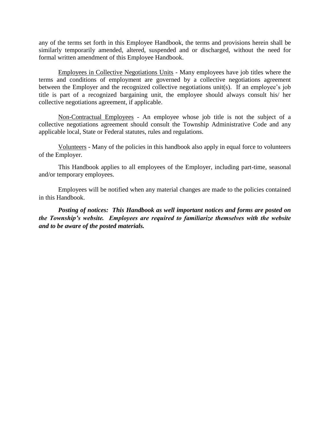any of the terms set forth in this Employee Handbook, the terms and provisions herein shall be similarly temporarily amended, altered, suspended and or discharged, without the need for formal written amendment of this Employee Handbook.

Employees in Collective Negotiations Units - Many employees have job titles where the terms and conditions of employment are governed by a collective negotiations agreement between the Employer and the recognized collective negotiations unit(s). If an employee's job title is part of a recognized bargaining unit, the employee should always consult his/ her collective negotiations agreement, if applicable.

Non-Contractual Employees - An employee whose job title is not the subject of a collective negotiations agreement should consult the Township Administrative Code and any applicable local, State or Federal statutes, rules and regulations.

Volunteers - Many of the policies in this handbook also apply in equal force to volunteers of the Employer.

This Handbook applies to all employees of the Employer, including part-time, seasonal and/or temporary employees.

Employees will be notified when any material changes are made to the policies contained in this Handbook.

*Posting of notices: This Handbook as well important notices and forms are posted on the Township's website. Employees are required to familiarize themselves with the website and to be aware of the posted materials.*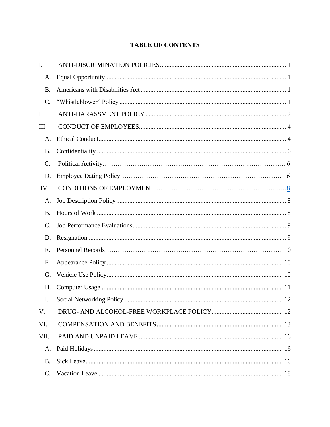## **TABLE OF CONTENTS**

| I.        |  |
|-----------|--|
| A.        |  |
| <b>B.</b> |  |
| C.        |  |
| II.       |  |
| Ш.        |  |
| A.        |  |
| B.        |  |
| C.        |  |
| D.        |  |
| IV.       |  |
| A.        |  |
| <b>B.</b> |  |
| C.        |  |
| D.        |  |
|           |  |
| Ε.        |  |
| F.        |  |
| G.        |  |
| H.        |  |
| Ι.        |  |
| V.        |  |
| VI.       |  |
| VII.      |  |
| A.        |  |
| <b>B.</b> |  |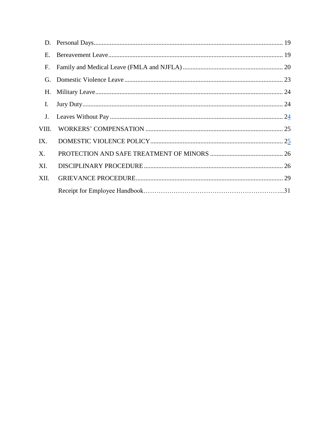| D.    |  |
|-------|--|
| Ε.    |  |
| F.    |  |
| G.    |  |
| Н.    |  |
| I.    |  |
| J.    |  |
| VIII. |  |
| IX.   |  |
| X.    |  |
| XI.   |  |
| XII.  |  |
|       |  |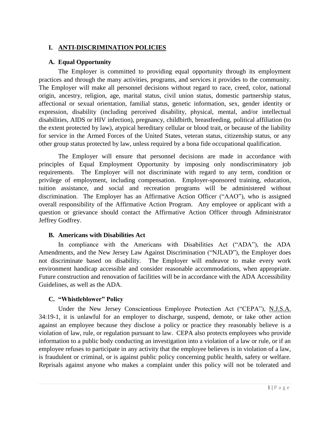## <span id="page-6-0"></span>**I. ANTI-DISCRIMINATION POLICIES**

## <span id="page-6-1"></span>**A. Equal Opportunity**

The Employer is committed to providing equal opportunity through its employment practices and through the many activities, programs, and services it provides to the community. The Employer will make all personnel decisions without regard to race, creed, color, national origin, ancestry, religion, age, marital status, civil union status, domestic partnership status, affectional or sexual orientation, familial status, genetic information, sex, gender identity or expression, disability (including perceived disability, physical, mental, and/or intellectual disabilities, AIDS or HIV infection), pregnancy, childbirth, breastfeeding, political affiliation (to the extent protected by law), atypical hereditary cellular or blood trait, or because of the liability for service in the Armed Forces of the United States, veteran status, citizenship status, or any other group status protected by law, unless required by a bona fide occupational qualification.

The Employer will ensure that personnel decisions are made in accordance with principles of Equal Employment Opportunity by imposing only nondiscriminatory job requirements. The Employer will not discriminate with regard to any term, condition or privilege of employment, including compensation. Employer-sponsored training, education, tuition assistance, and social and recreation programs will be administered without discrimination. The Employer has an Affirmative Action Officer ("AAO"), who is assigned overall responsibility of the Affirmative Action Program. Any employee or applicant with a question or grievance should contact the Affirmative Action Officer through Administrator Jeffrey Godfrey.

## <span id="page-6-2"></span>**B. Americans with Disabilities Act**

In compliance with the Americans with Disabilities Act ("ADA"), the ADA Amendments, and the New Jersey Law Against Discrimination ("NJLAD"), the Employer does not discriminate based on disability. The Employer will endeavor to make every work environment handicap accessible and consider reasonable accommodations, when appropriate. Future construction and renovation of facilities will be in accordance with the ADA Accessibility Guidelines, as well as the ADA.

## <span id="page-6-3"></span>**C. "Whistleblower" Policy**

Under the New Jersey Conscientious Employee Protection Act ("CEPA"), N.J.S.A. 34:19-1, it is unlawful for an employer to discharge, suspend, demote, or take other action against an employee because they disclose a policy or practice they reasonably believe is a violation of law, rule, or regulation pursuant to law. CEPA also protects employees who provide information to a public body conducting an investigation into a violation of a law or rule, or if an employee refuses to participate in any activity that the employee believes is in violation of a law, is fraudulent or criminal, or is against public policy concerning public health, safety or welfare. Reprisals against anyone who makes a complaint under this policy will not be tolerated and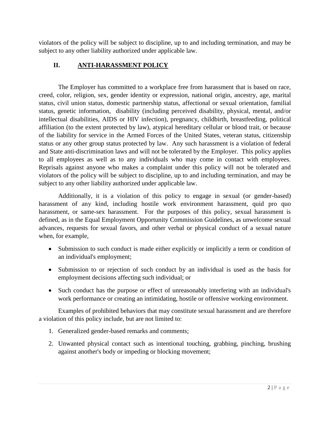violators of the policy will be subject to discipline, up to and including termination, and may be subject to any other liability authorized under applicable law.

## <span id="page-7-0"></span>**II. ANTI-HARASSMENT POLICY**

The Employer has committed to a workplace free from harassment that is based on race, creed, color, religion, sex, gender identity or expression, national origin, ancestry, age, marital status, civil union status, domestic partnership status, affectional or sexual orientation, familial status, genetic information, disability (including perceived disability, physical, mental, and/or intellectual disabilities, AIDS or HIV infection), pregnancy, childbirth, breastfeeding, political affiliation (to the extent protected by law), atypical hereditary cellular or blood trait, or because of the liability for service in the Armed Forces of the United States, veteran status, citizenship status or any other group status protected by law. Any such harassment is a violation of federal and State anti-discrimination laws and will not be tolerated by the Employer. This policy applies to all employees as well as to any individuals who may come in contact with employees. Reprisals against anyone who makes a complaint under this policy will not be tolerated and violators of the policy will be subject to discipline, up to and including termination, and may be subject to any other liability authorized under applicable law.

Additionally, it is a violation of this policy to engage in sexual (or gender-based) harassment of any kind, including hostile work environment harassment, quid pro quo harassment, or same-sex harassment. For the purposes of this policy, sexual harassment is defined, as in the Equal Employment Opportunity Commission Guidelines, as unwelcome sexual advances, requests for sexual favors, and other verbal or physical conduct of a sexual nature when, for example,

- Submission to such conduct is made either explicitly or implicitly a term or condition of an individual's employment;
- Submission to or rejection of such conduct by an individual is used as the basis for employment decisions affecting such individual; or
- Such conduct has the purpose or effect of unreasonably interfering with an individual's work performance or creating an intimidating, hostile or offensive working environment.

Examples of prohibited behaviors that may constitute sexual harassment and are therefore a violation of this policy include, but are not limited to:

- 1. Generalized gender-based remarks and comments;
- 2. Unwanted physical contact such as intentional touching, grabbing, pinching, brushing against another's body or impeding or blocking movement;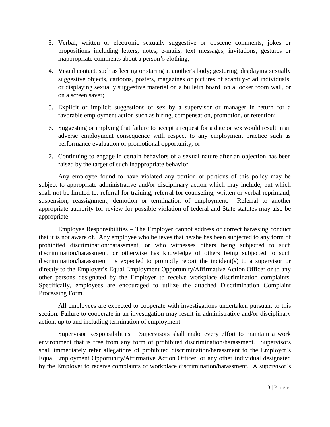- 3. Verbal, written or electronic sexually suggestive or obscene comments, jokes or propositions including letters, notes, e-mails, text messages, invitations, gestures or inappropriate comments about a person's clothing;
- 4. Visual contact, such as leering or staring at another's body; gesturing; displaying sexually suggestive objects, cartoons, posters, magazines or pictures of scantily-clad individuals; or displaying sexually suggestive material on a bulletin board, on a locker room wall, or on a screen saver;
- 5. Explicit or implicit suggestions of sex by a supervisor or manager in return for a favorable employment action such as hiring, compensation, promotion, or retention;
- 6. Suggesting or implying that failure to accept a request for a date or sex would result in an adverse employment consequence with respect to any employment practice such as performance evaluation or promotional opportunity; or
- 7. Continuing to engage in certain behaviors of a sexual nature after an objection has been raised by the target of such inappropriate behavior.

Any employee found to have violated any portion or portions of this policy may be subject to appropriate administrative and/or disciplinary action which may include, but which shall not be limited to: referral for training, referral for counseling, written or verbal reprimand, suspension, reassignment, demotion or termination of employment. Referral to another appropriate authority for review for possible violation of federal and State statutes may also be appropriate.

Employee Responsibilities – The Employer cannot address or correct harassing conduct that it is not aware of. Any employee who believes that he/she has been subjected to any form of prohibited discrimination/harassment, or who witnesses others being subjected to such discrimination/harassment, or otherwise has knowledge of others being subjected to such discrimination/harassment is expected to promptly report the incident(s) to a supervisor or directly to the Employer's Equal Employment Opportunity/Affirmative Action Officer or to any other persons designated by the Employer to receive workplace discrimination complaints. Specifically, employees are encouraged to utilize the attached Discrimination Complaint Processing Form.

All employees are expected to cooperate with investigations undertaken pursuant to this section. Failure to cooperate in an investigation may result in administrative and/or disciplinary action, up to and including termination of employment.

Supervisor Responsibilities – Supervisors shall make every effort to maintain a work environment that is free from any form of prohibited discrimination/harassment. Supervisors shall immediately refer allegations of prohibited discrimination/harassment to the Employer's Equal Employment Opportunity/Affirmative Action Officer, or any other individual designated by the Employer to receive complaints of workplace discrimination/harassment. A supervisor's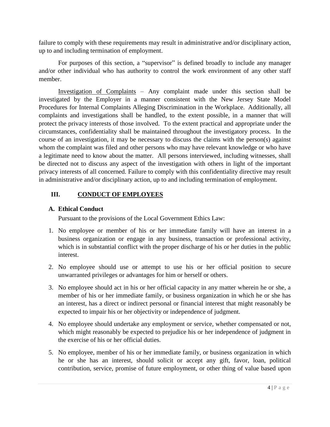failure to comply with these requirements may result in administrative and/or disciplinary action, up to and including termination of employment.

For purposes of this section, a "supervisor" is defined broadly to include any manager and/or other individual who has authority to control the work environment of any other staff member.

Investigation of Complaints – Any complaint made under this section shall be investigated by the Employer in a manner consistent with the New Jersey State Model Procedures for Internal Complaints Alleging Discrimination in the Workplace. Additionally, all complaints and investigations shall be handled, to the extent possible, in a manner that will protect the privacy interests of those involved. To the extent practical and appropriate under the circumstances, confidentiality shall be maintained throughout the investigatory process. In the course of an investigation, it may be necessary to discuss the claims with the person(s) against whom the complaint was filed and other persons who may have relevant knowledge or who have a legitimate need to know about the matter. All persons interviewed, including witnesses, shall be directed not to discuss any aspect of the investigation with others in light of the important privacy interests of all concerned. Failure to comply with this confidentiality directive may result in administrative and/or disciplinary action, up to and including termination of employment.

## <span id="page-9-0"></span>**III. CONDUCT OF EMPLOYEES**

## <span id="page-9-1"></span>**A. Ethical Conduct**

Pursuant to the provisions of the Local Government Ethics Law:

- 1. No employee or member of his or her immediate family will have an interest in a business organization or engage in any business, transaction or professional activity, which is in substantial conflict with the proper discharge of his or her duties in the public interest.
- 2. No employee should use or attempt to use his or her official position to secure unwarranted privileges or advantages for him or herself or others.
- 3. No employee should act in his or her official capacity in any matter wherein he or she, a member of his or her immediate family, or business organization in which he or she has an interest, has a direct or indirect personal or financial interest that might reasonably be expected to impair his or her objectivity or independence of judgment.
- 4. No employee should undertake any employment or service, whether compensated or not, which might reasonably be expected to prejudice his or her independence of judgment in the exercise of his or her official duties.
- 5. No employee, member of his or her immediate family, or business organization in which he or she has an interest, should solicit or accept any gift, favor, loan, political contribution, service, promise of future employment, or other thing of value based upon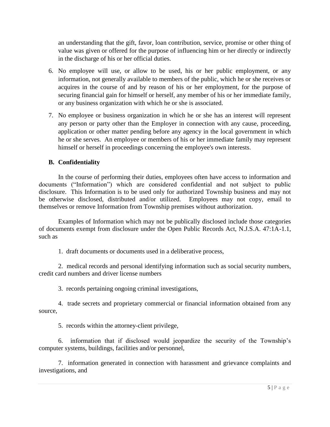an understanding that the gift, favor, loan contribution, service, promise or other thing of value was given or offered for the purpose of influencing him or her directly or indirectly in the discharge of his or her official duties.

- 6. No employee will use, or allow to be used, his or her public employment, or any information, not generally available to members of the public, which he or she receives or acquires in the course of and by reason of his or her employment, for the purpose of securing financial gain for himself or herself, any member of his or her immediate family, or any business organization with which he or she is associated.
- 7. No employee or business organization in which he or she has an interest will represent any person or party other than the Employer in connection with any cause, proceeding, application or other matter pending before any agency in the local government in which he or she serves. An employee or members of his or her immediate family may represent himself or herself in proceedings concerning the employee's own interests.

## **B. Confidentiality**

In the course of performing their duties, employees often have access to information and documents ("Information") which are considered confidential and not subject to public disclosure. This Information is to be used only for authorized Township business and may not be otherwise disclosed, distributed and/or utilized. Employees may not copy, email to themselves or remove Information from Township premises without authorization.

Examples of Information which may not be publically disclosed include those categories of documents exempt from disclosure under the Open Public Records Act, N.J.S.A. 47:1A-1.1, such as

1. draft documents or documents used in a deliberative process,

2. medical records and personal identifying information such as social security numbers, credit card numbers and driver license numbers

3. records pertaining ongoing criminal investigations,

4. trade secrets and proprietary commercial or financial information obtained from any source,

5. records within the attorney-client privilege,

6. information that if disclosed would jeopardize the security of the Township's computer systems, buildings, facilities and/or personnel,

7. information generated in connection with harassment and grievance complaints and investigations, and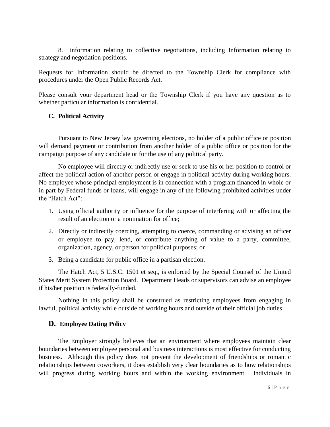8. information relating to collective negotiations, including Information relating to strategy and negotiation positions.

Requests for Information should be directed to the Township Clerk for compliance with procedures under the Open Public Records Act.

Please consult your department head or the Township Clerk if you have any question as to whether particular information is confidential.

## <span id="page-11-0"></span>**C. Political Activity**

Pursuant to New Jersey law governing elections, no holder of a public office or position will demand payment or contribution from another holder of a public office or position for the campaign purpose of any candidate or for the use of any political party.

No employee will directly or indirectly use or seek to use his or her position to control or affect the political action of another person or engage in political activity during working hours. No employee whose principal employment is in connection with a program financed in whole or in part by Federal funds or loans, will engage in any of the following prohibited activities under the "Hatch Act":

- 1. Using official authority or influence for the purpose of interfering with or affecting the result of an election or a nomination for office;
- 2. Directly or indirectly coercing, attempting to coerce, commanding or advising an officer or employee to pay, lend, or contribute anything of value to a party, committee, organization, agency, or person for political purposes; or
- 3. Being a candidate for public office in a partisan election.

The Hatch Act, 5 U.S.C. 1501 et seq., is enforced by the Special Counsel of the United States Merit System Protection Board. Department Heads or supervisors can advise an employee if his/her position is federally-funded.

Nothing in this policy shall be construed as restricting employees from engaging in lawful, political activity while outside of working hours and outside of their official job duties.

## **D. Employee Dating Policy**

The Employer strongly believes that an environment where employees maintain clear boundaries between employee personal and business interactions is most effective for conducting business. Although this policy does not prevent the development of friendships or romantic relationships between coworkers, it does establish very clear boundaries as to how relationships will progress during working hours and within the working environment. Individuals in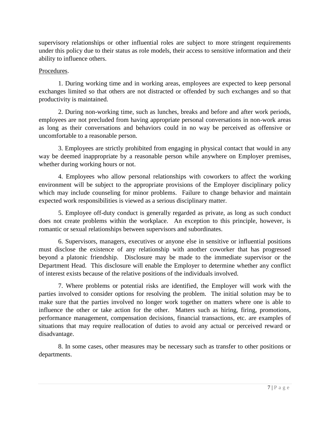supervisory relationships or other influential roles are subject to more stringent requirements under this policy due to their status as role models, their access to sensitive information and their ability to influence others.

#### Procedures.

1. During working time and in working areas, employees are expected to keep personal exchanges limited so that others are not distracted or offended by such exchanges and so that productivity is maintained.

2. During non-working time, such as lunches, breaks and before and after work periods, employees are not precluded from having appropriate personal conversations in non-work areas as long as their conversations and behaviors could in no way be perceived as offensive or uncomfortable to a reasonable person.

3. Employees are strictly prohibited from engaging in physical contact that would in any way be deemed inappropriate by a reasonable person while anywhere on Employer premises, whether during working hours or not.

4. Employees who allow personal relationships with coworkers to affect the working environment will be subject to the appropriate provisions of the Employer disciplinary policy which may include counseling for minor problems. Failure to change behavior and maintain expected work responsibilities is viewed as a serious disciplinary matter.

5. Employee off-duty conduct is generally regarded as private, as long as such conduct does not create problems within the workplace. An exception to this principle, however, is romantic or sexual relationships between supervisors and subordinates.

6. Supervisors, managers, executives or anyone else in sensitive or influential positions must disclose the existence of any relationship with another coworker that has progressed beyond a platonic friendship. Disclosure may be made to the immediate supervisor or the Department Head. This disclosure will enable the Employer to determine whether any conflict of interest exists because of the relative positions of the individuals involved.

7. Where problems or potential risks are identified, the Employer will work with the parties involved to consider options for resolving the problem. The initial solution may be to make sure that the parties involved no longer work together on matters where one is able to influence the other or take action for the other. Matters such as hiring, firing, promotions, performance management, compensation decisions, financial transactions, etc. are examples of situations that may require reallocation of duties to avoid any actual or perceived reward or disadvantage.

8. In some cases, other measures may be necessary such as transfer to other positions or departments.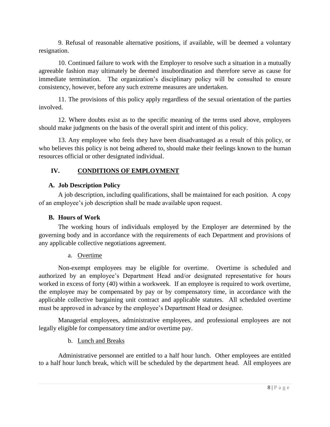9. Refusal of reasonable alternative positions, if available, will be deemed a voluntary resignation.

10. Continued failure to work with the Employer to resolve such a situation in a mutually agreeable fashion may ultimately be deemed insubordination and therefore serve as cause for immediate termination. The organization's disciplinary policy will be consulted to ensure consistency, however, before any such extreme measures are undertaken.

11. The provisions of this policy apply regardless of the sexual orientation of the parties involved.

12. Where doubts exist as to the specific meaning of the terms used above, employees should make judgments on the basis of the overall spirit and intent of this policy.

13. Any employee who feels they have been disadvantaged as a result of this policy, or who believes this policy is not being adhered to, should make their feelings known to the human resources official or other designated individual.

## <span id="page-13-0"></span>**IV. CONDITIONS OF EMPLOYMENT**

## <span id="page-13-1"></span>**A. Job Description Policy**

A job description, including qualifications, shall be maintained for each position. A copy of an employee's job description shall be made available upon request.

## **B. Hours of Work**

<span id="page-13-2"></span>The working hours of individuals employed by the Employer are determined by the governing body and in accordance with the requirements of each Department and provisions of any applicable collective negotiations agreement.

## a. Overtime

Non-exempt employees may be eligible for overtime. Overtime is scheduled and authorized by an employee's Department Head and/or designated representative for hours worked in excess of forty (40) within a workweek. If an employee is required to work overtime, the employee may be compensated by pay or by compensatory time, in accordance with the applicable collective bargaining unit contract and applicable statutes. All scheduled overtime must be approved in advance by the employee's Department Head or designee.

Managerial employees, administrative employees, and professional employees are not legally eligible for compensatory time and/or overtime pay.

## b. Lunch and Breaks

Administrative personnel are entitled to a half hour lunch. Other employees are entitled to a half hour lunch break, which will be scheduled by the department head. All employees are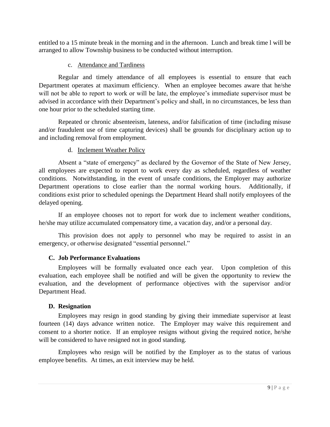entitled to a 15 minute break in the morning and in the afternoon. Lunch and break time l will be arranged to allow Township business to be conducted without interruption.

## c. Attendance and Tardiness

Regular and timely attendance of all employees is essential to ensure that each Department operates at maximum efficiency. When an employee becomes aware that he/she will not be able to report to work or will be late, the employee's immediate supervisor must be advised in accordance with their Department's policy and shall, in no circumstances, be less than one hour prior to the scheduled starting time.

Repeated or chronic absenteeism, lateness, and/or falsification of time (including misuse and/or fraudulent use of time capturing devices) shall be grounds for disciplinary action up to and including removal from employment.

## d. Inclement Weather Policy

Absent a "state of emergency" as declared by the Governor of the State of New Jersey, all employees are expected to report to work every day as scheduled, regardless of weather conditions. Notwithstanding, in the event of unsafe conditions, the Employer may authorize Department operations to close earlier than the normal working hours. Additionally, if conditions exist prior to scheduled openings the Department Heard shall notify employees of the delayed opening.

If an employee chooses not to report for work due to inclement weather conditions, he/she may utilize accumulated compensatory time, a vacation day, and/or a personal day.

This provision does not apply to personnel who may be required to assist in an emergency, or otherwise designated "essential personnel."

## <span id="page-14-0"></span>**C. Job Performance Evaluations**

Employees will be formally evaluated once each year. Upon completion of this evaluation, each employee shall be notified and will be given the opportunity to review the evaluation, and the development of performance objectives with the supervisor and/or Department Head.

## <span id="page-14-1"></span>**D. Resignation**

Employees may resign in good standing by giving their immediate supervisor at least fourteen (14) days advance written notice. The Employer may waive this requirement and consent to a shorter notice. If an employee resigns without giving the required notice, he/she will be considered to have resigned not in good standing.

Employees who resign will be notified by the Employer as to the status of various employee benefits. At times, an exit interview may be held.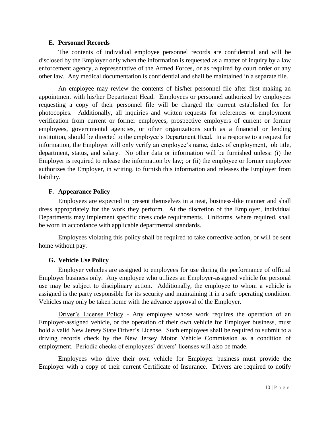#### **E. Personnel Records**

<span id="page-15-0"></span>The contents of individual employee personnel records are confidential and will be disclosed by the Employer only when the information is requested as a matter of inquiry by a law enforcement agency, a representative of the Armed Forces, or as required by court order or any other law. Any medical documentation is confidential and shall be maintained in a separate file.

An employee may review the contents of his/her personnel file after first making an appointment with his/her Department Head. Employees or personnel authorized by employees requesting a copy of their personnel file will be charged the current established fee for photocopies. Additionally, all inquiries and written requests for references or employment verification from current or former employees, prospective employers of current or former employees, governmental agencies, or other organizations such as a financial or lending institution, should be directed to the employee's Department Head. In a response to a request for information, the Employer will only verify an employee's name, dates of employment, job title, department, status, and salary. No other data or information will be furnished unless: (i) the Employer is required to release the information by law; or (ii) the employee or former employee authorizes the Employer, in writing, to furnish this information and releases the Employer from liability.

## <span id="page-15-1"></span>**F. Appearance Policy**

Employees are expected to present themselves in a neat, business-like manner and shall dress appropriately for the work they perform. At the discretion of the Employer, individual Departments may implement specific dress code requirements. Uniforms, where required, shall be worn in accordance with applicable departmental standards.

Employees violating this policy shall be required to take corrective action, or will be sent home without pay.

## <span id="page-15-2"></span>**G. Vehicle Use Policy**

Employer vehicles are assigned to employees for use during the performance of official Employer business only. Any employee who utilizes an Employer-assigned vehicle for personal use may be subject to disciplinary action. Additionally, the employee to whom a vehicle is assigned is the party responsible for its security and maintaining it in a safe operating condition. Vehicles may only be taken home with the advance approval of the Employer.

Driver's License Policy - Any employee whose work requires the operation of an Employer-assigned vehicle, or the operation of their own vehicle for Employer business, must hold a valid New Jersey State Driver's License. Such employees shall be required to submit to a driving records check by the New Jersey Motor Vehicle Commission as a condition of employment. Periodic checks of employees' drivers' licenses will also be made.

Employees who drive their own vehicle for Employer business must provide the Employer with a copy of their current Certificate of Insurance. Drivers are required to notify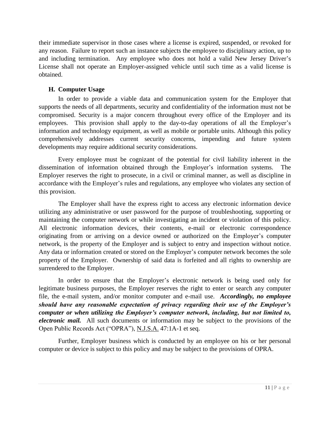their immediate supervisor in those cases where a license is expired, suspended, or revoked for any reason. Failure to report such an instance subjects the employee to disciplinary action, up to and including termination. Any employee who does not hold a valid New Jersey Driver's License shall not operate an Employer-assigned vehicle until such time as a valid license is obtained.

## <span id="page-16-0"></span>**H. Computer Usage**

In order to provide a viable data and communication system for the Employer that supports the needs of all departments, security and confidentiality of the information must not be compromised. Security is a major concern throughout every office of the Employer and its employees. This provision shall apply to the day-to-day operations of all the Employer's information and technology equipment, as well as mobile or portable units. Although this policy comprehensively addresses current security concerns, impending and future system developments may require additional security considerations.

Every employee must be cognizant of the potential for civil liability inherent in the dissemination of information obtained through the Employer's information systems. The Employer reserves the right to prosecute, in a civil or criminal manner, as well as discipline in accordance with the Employer's rules and regulations, any employee who violates any section of this provision.

The Employer shall have the express right to access any electronic information device utilizing any administrative or user password for the purpose of troubleshooting, supporting or maintaining the computer network or while investigating an incident or violation of this policy. All electronic information devices, their contents, e-mail or electronic correspondence originating from or arriving on a device owned or authorized on the Employer's computer network, is the property of the Employer and is subject to entry and inspection without notice. Any data or information created or stored on the Employer's computer network becomes the sole property of the Employer. Ownership of said data is forfeited and all rights to ownership are surrendered to the Employer.

In order to ensure that the Employer's electronic network is being used only for legitimate business purposes, the Employer reserves the right to enter or search any computer file, the e-mail system, and/or monitor computer and e-mail use. *Accordingly, no employee should have any reasonable expectation of privacy regarding their use of the Employer's computer or when utilizing the Employer's computer network, including, but not limited to, electronic mail.* All such documents or information may be subject to the provisions of the Open Public Records Act ("OPRA"), N.J.S.A. 47:1A-1 et seq.

Further, Employer business which is conducted by an employee on his or her personal computer or device is subject to this policy and may be subject to the provisions of OPRA.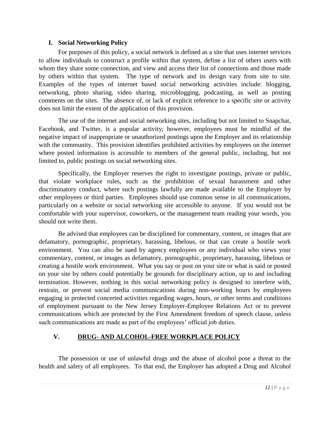## **I. Social Networking Policy**

<span id="page-17-0"></span>For purposes of this policy, a social network is defined as a site that uses internet services to allow individuals to construct a profile within that system, define a list of others users with whom they share some connection, and view and access their list of connections and those made by others within that system. The type of network and its design vary from site to site. Examples of the types of internet based social networking activities include: blogging, networking, photo sharing, video sharing, microblogging, podcasting, as well as posting comments on the sites. The absence of, or lack of explicit reference to a specific site or activity does not limit the extent of the application of this provision.

The use of the internet and social networking sites, including but not limited to Snapchat, Facebook, and Twitter, is a popular activity; however, employees must be mindful of the negative impact of inappropriate or unauthorized postings upon the Employer and its relationship with the community. This provision identifies prohibited activities by employees on the internet where posted information is accessible to members of the general public, including, but not limited to, public postings on social networking sites.

Specifically, the Employer reserves the right to investigate postings, private or public, that violate workplace rules, such as the prohibition of sexual harassment and other discriminatory conduct, where such postings lawfully are made available to the Employer by other employees or third parties. Employees should use common sense in all communications, particularly on a website or social networking site accessible to anyone. If you would not be comfortable with your supervisor, coworkers, or the management team reading your words, you should not write them.

Be advised that employees can be disciplined for commentary, content, or images that are defamatory, pornographic, proprietary, harassing, libelous, or that can create a hostile work environment. You can also be sued by agency employees or any individual who views your commentary, content, or images as defamatory, pornographic, proprietary, harassing, libelous or creating a hostile work environment. What you say or post on your site or what is said or posted on your site by others could potentially be grounds for disciplinary action, up to and including termination. However, nothing in this social networking policy is designed to interfere with, restrain, or prevent social media communications during non-working hours by employees engaging in protected concerted activities regarding wages, hours, or other terms and conditions of employment pursuant to the New Jersey Employer-Employee Relations Act or to prevent communications which are protected by the First Amendment freedom of speech clause, unless such communications are made as part of the employees' official job duties.

## <span id="page-17-1"></span>**V. DRUG- AND ALCOHOL-FREE WORKPLACE POLICY**

The possession or use of unlawful drugs and the abuse of alcohol pose a threat to the health and safety of all employees. To that end, the Employer has adopted a Drug and Alcohol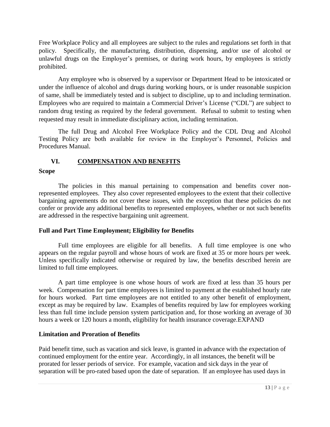Free Workplace Policy and all employees are subject to the rules and regulations set forth in that policy. Specifically, the manufacturing, distribution, dispensing, and/or use of alcohol or unlawful drugs on the Employer's premises, or during work hours, by employees is strictly prohibited.

Any employee who is observed by a supervisor or Department Head to be intoxicated or under the influence of alcohol and drugs during working hours, or is under reasonable suspicion of same, shall be immediately tested and is subject to discipline, up to and including termination. Employees who are required to maintain a Commercial Driver's License ("CDL") are subject to random drug testing as required by the federal government. Refusal to submit to testing when requested may result in immediate disciplinary action, including termination.

The full Drug and Alcohol Free Workplace Policy and the CDL Drug and Alcohol Testing Policy are both available for review in the Employer's Personnel, Policies and Procedures Manual.

## **VI. COMPENSATION AND BENEFITS**

#### <span id="page-18-0"></span>**Scope**

The policies in this manual pertaining to compensation and benefits cover nonrepresented employees. They also cover represented employees to the extent that their collective bargaining agreements do not cover these issues, with the exception that these policies do not confer or provide any additional benefits to represented employees, whether or not such benefits are addressed in the respective bargaining unit agreement.

## **Full and Part Time Employment; Eligibility for Benefits**

Full time employees are eligible for all benefits. A full time employee is one who appears on the regular payroll and whose hours of work are fixed at 35 or more hours per week. Unless specifically indicated otherwise or required by law, the benefits described herein are limited to full time employees.

A part time employee is one whose hours of work are fixed at less than 35 hours per week. Compensation for part time employees is limited to payment at the established hourly rate for hours worked. Part time employees are not entitled to any other benefit of employment, except as may be required by law. Examples of benefits required by law for employees working less than full time include pension system participation and, for those working an average of 30 hours a week or 120 hours a month, eligibility for health insurance coverage.EXPAND

## **Limitation and Proration of Benefits**

Paid benefit time, such as vacation and sick leave, is granted in advance with the expectation of continued employment for the entire year. Accordingly, in all instances, the benefit will be prorated for lesser periods of service. For example, vacation and sick days in the year of separation will be pro-rated based upon the date of separation. If an employee has used days in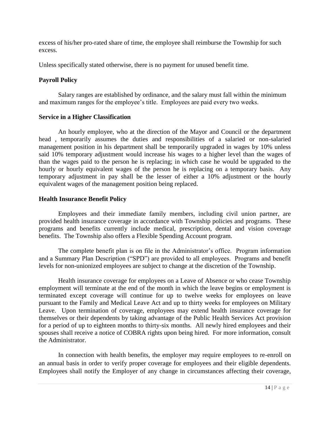excess of his/her pro-rated share of time, the employee shall reimburse the Township for such excess.

Unless specifically stated otherwise, there is no payment for unused benefit time.

#### **Payroll Policy**

Salary ranges are established by ordinance, and the salary must fall within the minimum and maximum ranges for the employee's title. Employees are paid every two weeks.

#### **Service in a Higher Classification**

An hourly employee, who at the direction of the Mayor and Council or the department head , temporarily assumes the duties and responsibilities of a salaried or non-salaried management position in his department shall be temporarily upgraded in wages by 10% unless said 10% temporary adjustment would increase his wages to a higher level than the wages of than the wages paid to the person he is replacing; in which case he would be upgraded to the hourly or hourly equivalent wages of the person he is replacing on a temporary basis. Any temporary adjustment in pay shall be the lesser of either a 10% adjustment or the hourly equivalent wages of the management position being replaced.

#### **Health Insurance Benefit Policy**

Employees and their immediate family members, including civil union partner, are provided health insurance coverage in accordance with Township policies and programs. These programs and benefits currently include medical, prescription, dental and vision coverage benefits. The Township also offers a Flexible Spending Account program.

The complete benefit plan is on file in the Administrator's office. Program information and a Summary Plan Description ("SPD") are provided to all employees. Programs and benefit levels for non-unionized employees are subject to change at the discretion of the Township.

Health insurance coverage for employees on a Leave of Absence or who cease Township employment will terminate at the end of the month in which the leave begins or employment is terminated except coverage will continue for up to twelve weeks for employees on leave pursuant to the Family and Medical Leave Act and up to thirty weeks for employees on Military Leave. Upon termination of coverage, employees may extend health insurance coverage for themselves or their dependents by taking advantage of the Public Health Services Act provision for a period of up to eighteen months to thirty-six months. All newly hired employees and their spouses shall receive a notice of COBRA rights upon being hired. For more information, consult the Administrator.

In connection with health benefits, the employer may require employees to re-enroll on an annual basis in order to verify proper coverage for employees and their eligible dependents. Employees shall notify the Employer of any change in circumstances affecting their coverage,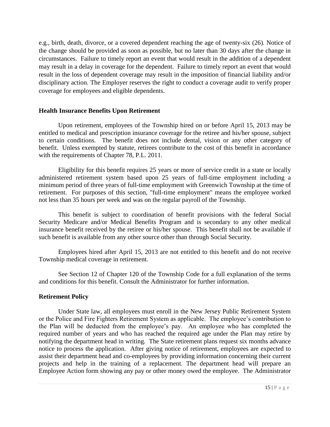e.g., birth, death, divorce, or a covered dependent reaching the age of twenty-six (26). Notice of the change should be provided as soon as possible, but no later than 30 days after the change in circumstances. Failure to timely report an event that would result in the addition of a dependent may result in a delay in coverage for the dependent. Failure to timely report an event that would result in the loss of dependent coverage may result in the imposition of financial liability and/or disciplinary action. The Employer reserves the right to conduct a coverage audit to verify proper coverage for employees and eligible dependents.

#### **Health Insurance Benefits Upon Retirement**

Upon retirement, employees of the Township hired on or before April 15, 2013 may be entitled to medical and prescription insurance coverage for the retiree and his/her spouse, subject to certain conditions. The benefit does not include dental, vision or any other category of benefit. Unless exempted by statute, retirees contribute to the cost of this benefit in accordance with the requirements of Chapter 78, P.L. 2011.

Eligibility for this benefit requires 25 years or more of service credit in a state or locally administered retirement system based upon 25 years of full-time employment including a minimum period of three years of full-time employment with Greenwich Township at the time of retirement. For purposes of this section, "full-time employment" means the employee worked not less than 35 hours per week and was on the regular payroll of the Township.

This benefit is subject to coordination of benefit provisions with the federal Social Security Medicare and/or Medical Benefits Program and is secondary to any other medical insurance benefit received by the retiree or his/her spouse. This benefit shall not be available if such benefit is available from any other source other than through Social Security.

Employees hired after April 15, 2013 are not entitled to this benefit and do not receive Township medical coverage in retirement.

See Section 12 of Chapter 120 of the Township Code for a full explanation of the terms and conditions for this benefit. Consult the Administrator for further information.

## **Retirement Policy**

Under State law, all employees must enroll in the New Jersey Public Retirement System or the Police and Fire Fighters Retirement System as applicable. The employee's contribution to the Plan will be deducted from the employee's pay. An employee who has completed the required number of years and who has reached the required age under the Plan may retire by notifying the department head in writing. The State retirement plans request six months advance notice to process the application. After giving notice of retirement, employees are expected to assist their department head and co-employees by providing information concerning their current projects and help in the training of a replacement. The department head will prepare an Employee Action form showing any pay or other money owed the employee. The Administrator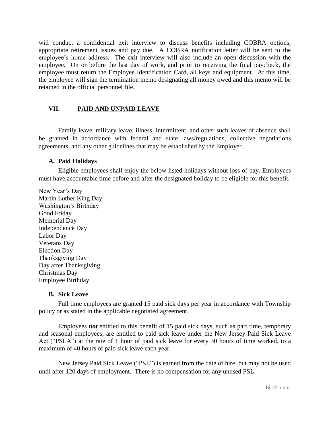will conduct a confidential exit interview to discuss benefits including COBRA options, appropriate retirement issues and pay due. A COBRA notification letter will be sent to the employee's home address. The exit interview will also include an open discussion with the employee. On or before the last day of work, and prior to receiving the final paycheck, the employee must return the Employee Identification Card, all keys and equipment. At this time, the employee will sign the termination memo designating all money owed and this memo will be retained in the official personnel file.

## <span id="page-21-0"></span>**VII. PAID AND UNPAID LEAVE**

Family leave, military leave, illness, intermittent, and other such leaves of absence shall be granted in accordance with federal and state laws/regulations, collective negotiations agreements, and any other guidelines that may be established by the Employer.

#### <span id="page-21-1"></span>**A. Paid Holidays**

Eligible employees shall enjoy the below listed holidays without loss of pay. Employees must have accountable time before and after the designated holiday to be eligible for this benefit.

New Year's Day Martin Luther King Day Washington's Birthday Good Friday Memorial Day Independence Day Labor Day Veterans Day Election Day Thanksgiving Day Day after Thanksgiving Christmas Day Employee Birthday

## <span id="page-21-2"></span>**B. Sick Leave**

Full time employees are granted 15 paid sick days per year in accordance with Township policy or as stated in the applicable negotiated agreement.

Employees *not* entitled to this benefit of 15 paid sick days, such as part time, temporary and seasonal employees, are entitled to paid sick leave under the New Jersey Paid Sick Leave Act ("PSLA") at the rate of 1 hour of paid sick leave for every 30 hours of time worked, to a maximum of 40 hours of paid sick leave each year.

New Jersey Paid Sick Leave ("PSL") is earned from the date of hire, but may not be used until after 120 days of employment. There is no compensation for any unused PSL.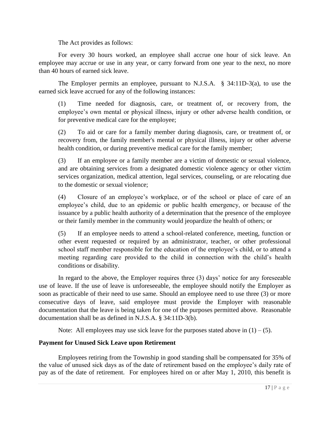The Act provides as follows:

For every 30 hours worked, an employee shall accrue one hour of sick leave. An employee may accrue or use in any year, or carry forward from one year to the next, no more than 40 hours of earned sick leave.

The Employer permits an employee, pursuant to N.J.S.A. § 34:11D-3(a), to use the earned sick leave accrued for any of the following instances:

(1) Time needed for diagnosis, care, or treatment of, or recovery from, the employee's own mental or physical illness, injury or other adverse health condition, or for preventive medical care for the employee;

(2) To aid or care for a family member during diagnosis, care, or treatment of, or recovery from, the family member's mental or physical illness, injury or other adverse health condition, or during preventive medical care for the family member;

(3) If an employee or a family member are a victim of domestic or sexual violence, and are obtaining services from a designated domestic violence agency or other victim services organization, medical attention, legal services, counseling, or are relocating due to the domestic or sexual violence;

(4) Closure of an employee's workplace, or of the school or place of care of an employee's child, due to an epidemic or public health emergency, or because of the issuance by a public health authority of a determination that the presence of the employee or their family member in the community would jeopardize the health of others; or

(5) If an employee needs to attend a school-related conference, meeting, function or other event requested or required by an administrator, teacher, or other professional school staff member responsible for the education of the employee's child, or to attend a meeting regarding care provided to the child in connection with the child's health conditions or disability.

In regard to the above, the Employer requires three (3) days' notice for any foreseeable use of leave. If the use of leave is unforeseeable, the employee should notify the Employer as soon as practicable of their need to use same. Should an employee need to use three (3) or more consecutive days of leave, said employee must provide the Employer with reasonable documentation that the leave is being taken for one of the purposes permitted above. Reasonable documentation shall be as defined in N.J.S.A. § 34:11D-3(b).

Note: All employees may use sick leave for the purposes stated above in  $(1) - (5)$ .

## **Payment for Unused Sick Leave upon Retirement**

Employees retiring from the Township in good standing shall be compensated for 35% of the value of unused sick days as of the date of retirement based on the employee's daily rate of pay as of the date of retirement. For employees hired on or after May 1, 2010, this benefit is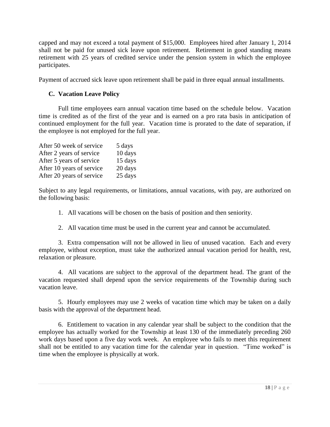capped and may not exceed a total payment of \$15,000. Employees hired after January 1, 2014 shall not be paid for unused sick leave upon retirement. Retirement in good standing means retirement with 25 years of credited service under the pension system in which the employee participates.

<span id="page-23-0"></span>Payment of accrued sick leave upon retirement shall be paid in three equal annual installments.

## **C. Vacation Leave Policy**

Full time employees earn annual vacation time based on the schedule below. Vacation time is credited as of the first of the year and is earned on a pro rata basis in anticipation of continued employment for the full year. Vacation time is prorated to the date of separation, if the employee is not employed for the full year.

| After 50 week of service  | 5 days  |
|---------------------------|---------|
| After 2 years of service  | 10 days |
| After 5 years of service  | 15 days |
| After 10 years of service | 20 days |
| After 20 years of service | 25 days |

Subject to any legal requirements, or limitations, annual vacations, with pay, are authorized on the following basis:

1. All vacations will be chosen on the basis of position and then seniority.

2. All vacation time must be used in the current year and cannot be accumulated.

3. Extra compensation will not be allowed in lieu of unused vacation. Each and every employee, without exception, must take the authorized annual vacation period for health, rest, relaxation or pleasure.

4. All vacations are subject to the approval of the department head. The grant of the vacation requested shall depend upon the service requirements of the Township during such vacation leave.

5. Hourly employees may use 2 weeks of vacation time which may be taken on a daily basis with the approval of the department head.

6. Entitlement to vacation in any calendar year shall be subject to the condition that the employee has actually worked for the Township at least 130 of the immediately preceding 260 work days based upon a five day work week. An employee who fails to meet this requirement shall not be entitled to any vacation time for the calendar year in question. "Time worked" is time when the employee is physically at work.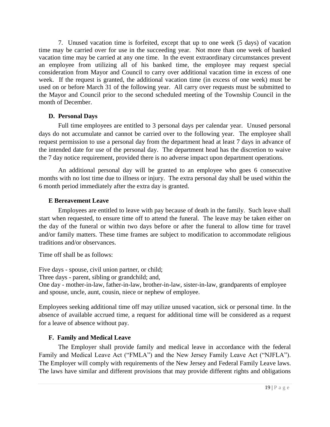7. Unused vacation time is forfeited, except that up to one week (5 days) of vacation time may be carried over for use in the succeeding year. Not more than one week of banked vacation time may be carried at any one time. In the event extraordinary circumstances prevent an employee from utilizing all of his banked time, the employee may request special consideration from Mayor and Council to carry over additional vacation time in excess of one week. If the request is granted, the additional vacation time (in excess of one week) must be used on or before March 31 of the following year. All carry over requests must be submitted to the Mayor and Council prior to the second scheduled meeting of the Township Council in the month of December.

## <span id="page-24-1"></span><span id="page-24-0"></span>**D. Personal Days**

Full time employees are entitled to 3 personal days per calendar year. Unused personal days do not accumulate and cannot be carried over to the following year. The employee shall request permission to use a personal day from the department head at least 7 days in advance of the intended date for use of the personal day. The department head has the discretion to waive the 7 day notice requirement, provided there is no adverse impact upon department operations.

An additional personal day will be granted to an employee who goes 6 consecutive months with no lost time due to illness or injury. The extra personal day shall be used within the 6 month period immediately after the extra day is granted.

## **E Bereavement Leave**

Employees are entitled to leave with pay because of death in the family. Such leave shall start when requested, to ensure time off to attend the funeral. The leave may be taken either on the day of the funeral or within two days before or after the funeral to allow time for travel and/or family matters. These time frames are subject to modification to accommodate religious traditions and/or observances.

Time off shall be as follows:

Five days - spouse, civil union partner, or child;

Three days - parent, sibling or grandchild; and,

One day - mother-in-law, father-in-law, brother-in-law, sister-in-law, grandparents of employee and spouse, uncle, aunt, cousin, niece or nephew of employee.

Employees seeking additional time off may utilize unused vacation, sick or personal time. In the absence of available accrued time, a request for additional time will be considered as a request for a leave of absence without pay.

## <span id="page-24-2"></span>**F. Family and Medical Leave**

The Employer shall provide family and medical leave in accordance with the federal Family and Medical Leave Act ("FMLA") and the New Jersey Family Leave Act ("NJFLA"). The Employer will comply with requirements of the New Jersey and Federal Family Leave laws. The laws have similar and different provisions that may provide different rights and obligations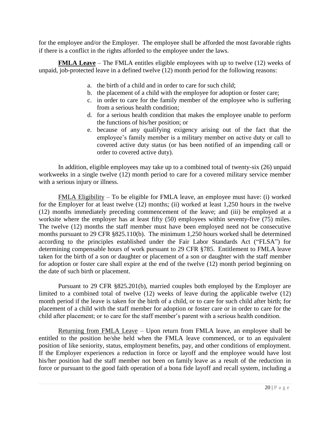for the employee and/or the Employer. The employee shall be afforded the most favorable rights if there is a conflict in the rights afforded to the employee under the laws.

**FMLA Leave** – The FMLA entitles eligible employees with up to twelve (12) weeks of unpaid, job-protected leave in a defined twelve (12) month period for the following reasons:

- a. the birth of a child and in order to care for such child;
- b. the placement of a child with the employee for adoption or foster care;
- c. in order to care for the family member of the employee who is suffering from a serious health condition;
- d. for a serious health condition that makes the employee unable to perform the functions of his/her position; or
- e. because of any qualifying exigency arising out of the fact that the employee's family member is a military member on active duty or call to covered active duty status (or has been notified of an impending call or order to covered active duty).

In addition, eligible employees may take up to a combined total of twenty-six (26) unpaid workweeks in a single twelve (12) month period to care for a covered military service member with a serious injury or illness.

FMLA Eligibility – To be eligible for FMLA leave, an employee must have: (i) worked for the Employer for at least twelve (12) months; (ii) worked at least 1,250 hours in the twelve (12) months immediately preceding commencement of the leave; and (iii) be employed at a worksite where the employer has at least fifty (50) employees within seventy-five (75) miles. The twelve (12) months the staff member must have been employed need not be consecutive months pursuant to 29 CFR §825.110(b). The minimum 1,250 hours worked shall be determined according to the principles established under the Fair Labor Standards Act ("FLSA") for determining compensable hours of work pursuant to 29 CFR §785. Entitlement to FMLA leave taken for the birth of a son or daughter or placement of a son or daughter with the staff member for adoption or foster care shall expire at the end of the twelve (12) month period beginning on the date of such birth or placement.

Pursuant to 29 CFR §825.201(b), married couples both employed by the Employer are limited to a combined total of twelve (12) weeks of leave during the applicable twelve (12) month period if the leave is taken for the birth of a child, or to care for such child after birth; for placement of a child with the staff member for adoption or foster care or in order to care for the child after placement; or to care for the staff member's parent with a serious health condition.

Returning from FMLA Leave – Upon return from FMLA leave, an employee shall be entitled to the position he/she held when the FMLA leave commenced, or to an equivalent position of like seniority, status, employment benefits, pay, and other conditions of employment. If the Employer experiences a reduction in force or layoff and the employee would have lost his/her position had the staff member not been on family leave as a result of the reduction in force or pursuant to the good faith operation of a bona fide layoff and recall system, including a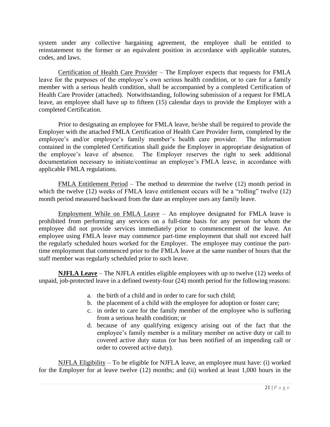system under any collective bargaining agreement, the employee shall be entitled to reinstatement to the former or an equivalent position in accordance with applicable statutes, codes, and laws.

Certification of Health Care Provider – The Employer expects that requests for FMLA leave for the purposes of the employee's own serious health condition, or to care for a family member with a serious health condition, shall be accompanied by a completed Certification of Health Care Provider (attached). Notwithstanding, following submission of a request for FMLA leave, an employee shall have up to fifteen (15) calendar days to provide the Employer with a completed Certification.

Prior to designating an employee for FMLA leave, he/she shall be required to provide the Employer with the attached FMLA Certification of Health Care Provider form, completed by the employee's and/or employee's family member's health care provider. The information contained in the completed Certification shall guide the Employer in appropriate designation of the employee's leave of absence. The Employer reserves the right to seek additional documentation necessary to initiate/continue an employee's FMLA leave, in accordance with applicable FMLA regulations.

FMLA Entitlement Period – The method to determine the twelve (12) month period in which the twelve (12) weeks of FMLA leave entitlement occurs will be a "rolling" twelve (12) month period measured backward from the date an employee uses any family leave.

Employment While on FMLA Leave – An employee designated for FMLA leave is prohibited from performing any services on a full-time basis for any person for whom the employee did not provide services immediately prior to commencement of the leave. An employee using FMLA leave may commence part-time employment that shall not exceed half the regularly scheduled hours worked for the Employer. The employee may continue the parttime employment that commenced prior to the FMLA leave at the same number of hours that the staff member was regularly scheduled prior to such leave.

**NJFLA Leave** – The NJFLA entitles eligible employees with up to twelve (12) weeks of unpaid, job-protected leave in a defined twenty-four (24) month period for the following reasons:

- a. the birth of a child and in order to care for such child;
- b. the placement of a child with the employee for adoption or foster care;
- c. in order to care for the family member of the employee who is suffering from a serious health condition; or
- d. because of any qualifying exigency arising out of the fact that the employee's family member is a military member on active duty or call to covered active duty status (or has been notified of an impending call or order to covered active duty).

NJFLA Eligibility – To be eligible for NJFLA leave, an employee must have: (i) worked for the Employer for at leave twelve (12) months; and (ii) worked at least 1,000 hours in the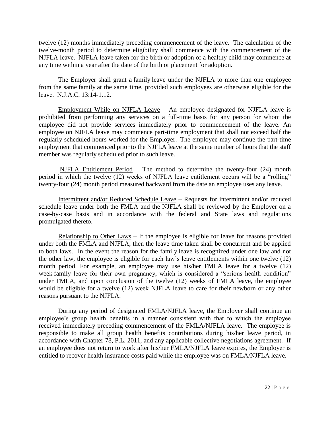twelve (12) months immediately preceding commencement of the leave. The calculation of the twelve-month period to determine eligibility shall commence with the commencement of the NJFLA leave. NJFLA leave taken for the birth or adoption of a healthy child may commence at any time within a year after the date of the birth or placement for adoption.

The Employer shall grant a family leave under the NJFLA to more than one employee from the same family at the same time, provided such employees are otherwise eligible for the leave. N.J.A.C. 13:14-1.12.

Employment While on NJFLA Leave – An employee designated for NJFLA leave is prohibited from performing any services on a full-time basis for any person for whom the employee did not provide services immediately prior to commencement of the leave. An employee on NJFLA leave may commence part-time employment that shall not exceed half the regularly scheduled hours worked for the Employer. The employee may continue the part-time employment that commenced prior to the NJFLA leave at the same number of hours that the staff member was regularly scheduled prior to such leave.

NJFLA Entitlement Period – The method to determine the twenty-four (24) month period in which the twelve (12) weeks of NJFLA leave entitlement occurs will be a "rolling" twenty-four (24) month period measured backward from the date an employee uses any leave.

Intermittent and/or Reduced Schedule Leave – Requests for intermittent and/or reduced schedule leave under both the FMLA and the NJFLA shall be reviewed by the Employer on a case-by-case basis and in accordance with the federal and State laws and regulations promulgated thereto.

Relationship to Other Laws – If the employee is eligible for leave for reasons provided under both the FMLA and NJFLA, then the leave time taken shall be concurrent and be applied to both laws. In the event the reason for the family leave is recognized under one law and not the other law, the employee is eligible for each law's leave entitlements within one twelve (12) month period. For example, an employee may use his/her FMLA leave for a twelve (12) week family leave for their own pregnancy, which is considered a "serious health condition" under FMLA, and upon conclusion of the twelve (12) weeks of FMLA leave, the employee would be eligible for a twelve (12) week NJFLA leave to care for their newborn or any other reasons pursuant to the NJFLA.

During any period of designated FMLA/NJFLA leave, the Employer shall continue an employee's group health benefits in a manner consistent with that to which the employee received immediately preceding commencement of the FMLA/NJFLA leave. The employee is responsible to make all group health benefits contributions during his/her leave period, in accordance with Chapter 78, P.L. 2011, and any applicable collective negotiations agreement. If an employee does not return to work after his/her FMLA/NJFLA leave expires, the Employer is entitled to recover health insurance costs paid while the employee was on FMLA/NJFLA leave.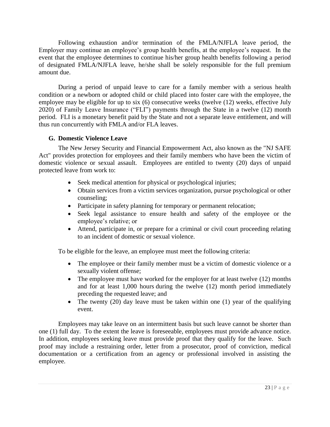Following exhaustion and/or termination of the FMLA/NJFLA leave period, the Employer may continue an employee's group health benefits, at the employee's request. In the event that the employee determines to continue his/her group health benefits following a period of designated FMLA/NJFLA leave, he/she shall be solely responsible for the full premium amount due.

During a period of unpaid leave to care for a family member with a serious health condition or a newborn or adopted child or child placed into foster care with the employee, the employee may be eligible for up to six (6) consecutive weeks (twelve (12) weeks, effective July 2020) of Family Leave Insurance ("FLI") payments through the State in a twelve (12) month period. FLI is a monetary benefit paid by the State and not a separate leave entitlement, and will thus run concurrently with FMLA and/or FLA leaves.

## <span id="page-28-0"></span>**G. Domestic Violence Leave**

The New Jersey Security and Financial Empowerment Act, also known as the "NJ SAFE Act" provides protection for employees and their family members who have been the victim of domestic violence or sexual assault. Employees are entitled to twenty (20) days of unpaid protected leave from work to:

- Seek medical attention for physical or psychological injuries;
- Obtain services from a victim services organization, pursue psychological or other counseling;
- Participate in safety planning for temporary or permanent relocation;
- Seek legal assistance to ensure health and safety of the employee or the employee's relative; or
- Attend, participate in, or prepare for a criminal or civil court proceeding relating to an incident of domestic or sexual violence.

To be eligible for the leave, an employee must meet the following criteria:

- The employee or their family member must be a victim of domestic violence or a sexually violent offense;
- The employee must have worked for the employer for at least twelve (12) months and for at least 1,000 hours during the twelve (12) month period immediately preceding the requested leave; and
- The twenty (20) day leave must be taken within one (1) year of the qualifying event.

Employees may take leave on an intermittent basis but such leave cannot be shorter than one (1) full day. To the extent the leave is foreseeable, employees must provide advance notice. In addition, employees seeking leave must provide proof that they qualify for the leave. Such proof may include a restraining order, letter from a prosecutor, proof of conviction, medical documentation or a certification from an agency or professional involved in assisting the employee.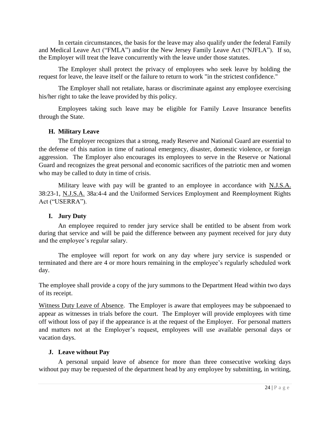In certain circumstances, the basis for the leave may also qualify under the federal Family and Medical Leave Act ("FMLA") and/or the New Jersey Family Leave Act ("NJFLA"). If so, the Employer will treat the leave concurrently with the leave under those statutes.

The Employer shall protect the privacy of employees who seek leave by holding the request for leave, the leave itself or the failure to return to work "in the strictest confidence."

The Employer shall not retaliate, harass or discriminate against any employee exercising his/her right to take the leave provided by this policy.

Employees taking such leave may be eligible for Family Leave Insurance benefits through the State.

#### <span id="page-29-0"></span>**H. Military Leave**

The Employer recognizes that a strong, ready Reserve and National Guard are essential to the defense of this nation in time of national emergency, disaster, domestic violence, or foreign aggression. The Employer also encourages its employees to serve in the Reserve or National Guard and recognizes the great personal and economic sacrifices of the patriotic men and women who may be called to duty in time of crisis.

Military leave with pay will be granted to an employee in accordance with N.J.S.A. 38:23-1, N.J.S.A. 38a:4-4 and the Uniformed Services Employment and Reemployment Rights Act ("USERRA").

## <span id="page-29-1"></span>**I. Jury Duty**

An employee required to render jury service shall be entitled to be absent from work during that service and will be paid the difference between any payment received for jury duty and the employee's regular salary.

The employee will report for work on any day where jury service is suspended or terminated and there are 4 or more hours remaining in the employee's regularly scheduled work day.

The employee shall provide a copy of the jury summons to the Department Head within two days of its receipt.

Witness Duty Leave of Absence. The Employer is aware that employees may be subpoenaed to appear as witnesses in trials before the court. The Employer will provide employees with time off without loss of pay if the appearance is at the request of the Employer. For personal matters and matters not at the Employer's request, employees will use available personal days or vacation days.

## <span id="page-29-2"></span>**J. Leave without Pay**

A personal unpaid leave of absence for more than three consecutive working days without pay may be requested of the department head by any employee by submitting, in writing,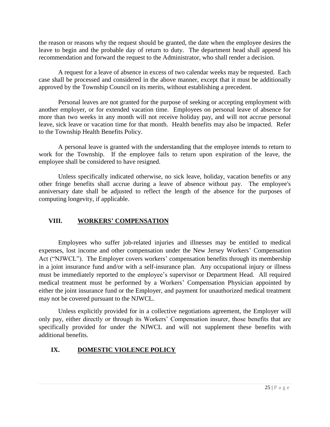the reason or reasons why the request should be granted, the date when the employee desires the leave to begin and the probable day of return to duty. The department head shall append his recommendation and forward the request to the Administrator, who shall render a decision.

A request for a leave of absence in excess of two calendar weeks may be requested. Each case shall be processed and considered in the above manner, except that it must be additionally approved by the Township Council on its merits, without establishing a precedent.

Personal leaves are not granted for the purpose of seeking or accepting employment with another employer, or for extended vacation time. Employees on personal leave of absence for more than two weeks in any month will not receive holiday pay, and will not accrue personal leave, sick leave or vacation time for that month. Health benefits may also be impacted. Refer to the Township Health Benefits Policy.

A personal leave is granted with the understanding that the employee intends to return to work for the Township. If the employee fails to return upon expiration of the leave, the employee shall be considered to have resigned.

Unless specifically indicated otherwise, no sick leave, holiday, vacation benefits or any other fringe benefits shall accrue during a leave of absence without pay. The employee's anniversary date shall be adjusted to reflect the length of the absence for the purposes of computing longevity, if applicable.

## <span id="page-30-0"></span>**VIII. WORKERS' COMPENSATION**

Employees who suffer job-related injuries and illnesses may be entitled to medical expenses, lost income and other compensation under the New Jersey Workers' Compensation Act ("NJWCL"). The Employer covers workers' compensation benefits through its membership in a joint insurance fund and/or with a self-insurance plan. Any occupational injury or illness must be immediately reported to the employee's supervisor or Department Head. All required medical treatment must be performed by a Workers' Compensation Physician appointed by either the joint insurance fund or the Employer, and payment for unauthorized medical treatment may not be covered pursuant to the NJWCL.

Unless explicitly provided for in a collective negotiations agreement, the Employer will only pay, either directly or through its Workers' Compensation insurer, those benefits that are specifically provided for under the NJWCL and will not supplement these benefits with additional benefits.

## <span id="page-30-1"></span>**IX. DOMESTIC VIOLENCE POLICY**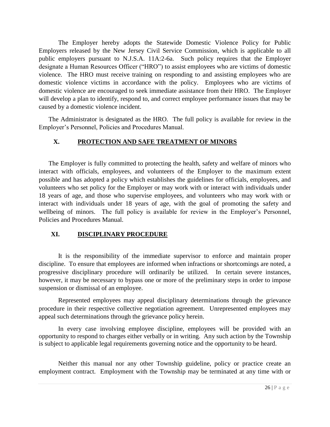The Employer hereby adopts the Statewide Domestic Violence Policy for Public Employers released by the New Jersey Civil Service Commission, which is applicable to all public employers pursuant to N.J.S.A. 11A:2-6a. Such policy requires that the Employer designate a Human Resources Officer ("HRO") to assist employees who are victims of domestic violence. The HRO must receive training on responding to and assisting employees who are domestic violence victims in accordance with the policy. Employees who are victims of domestic violence are encouraged to seek immediate assistance from their HRO. The Employer will develop a plan to identify, respond to, and correct employee performance issues that may be caused by a domestic violence incident.

The Administrator is designated as the HRO. The full policy is available for review in the Employer's Personnel, Policies and Procedures Manual.

## **X. PROTECTION AND SAFE TREATMENT OF MINORS**

The Employer is fully committed to protecting the health, safety and welfare of minors who interact with officials, employees, and volunteers of the Employer to the maximum extent possible and has adopted a policy which establishes the guidelines for officials, employees, and volunteers who set policy for the Employer or may work with or interact with individuals under 18 years of age, and those who supervise employees, and volunteers who may work with or interact with individuals under 18 years of age, with the goal of promoting the safety and wellbeing of minors. The full policy is available for review in the Employer's Personnel, Policies and Procedures Manual.

## <span id="page-31-0"></span>**XI. DISCIPLINARY PROCEDURE**

It is the responsibility of the immediate supervisor to enforce and maintain proper discipline. To ensure that employees are informed when infractions or shortcomings are noted, a progressive disciplinary procedure will ordinarily be utilized. In certain severe instances, however, it may be necessary to bypass one or more of the preliminary steps in order to impose suspension or dismissal of an employee.

Represented employees may appeal disciplinary determinations through the grievance procedure in their respective collective negotiation agreement. Unrepresented employees may appeal such determinations through the grievance policy herein.

In every case involving employee discipline, employees will be provided with an opportunity to respond to charges either verbally or in writing. Any such action by the Township is subject to applicable legal requirements governing notice and the opportunity to be heard.

Neither this manual nor any other Township guideline, policy or practice create an employment contract. Employment with the Township may be terminated at any time with or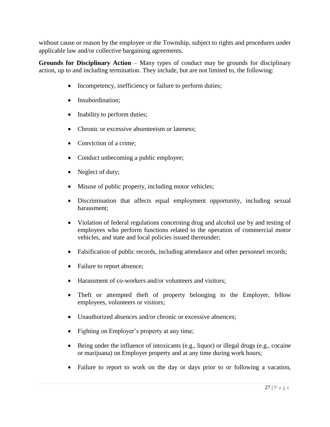without cause or reason by the employee or the Township, subject to rights and procedures under applicable law and/or collective bargaining agreements.

**Grounds for Disciplinary Action** – Many types of conduct may be grounds for disciplinary action, up to and including termination. They include, but are not limited to, the following:

- Incompetency, inefficiency or failure to perform duties;
- Insubordination;
- Inability to perform duties;
- Chronic or excessive absenteeism or lateness:
- Conviction of a crime:
- Conduct unbecoming a public employee;
- Neglect of duty;
- Misuse of public property, including motor vehicles;
- Discrimination that affects equal employment opportunity, including sexual harassment;
- Violation of federal regulations concerning drug and alcohol use by and testing of employees who perform functions related to the operation of commercial motor vehicles, and state and local policies issued thereunder;
- Falsification of public records, including attendance and other personnel records;
- Failure to report absence;
- Harassment of co-workers and/or volunteers and visitors:
- Theft or attempted theft of property belonging to the Employer, fellow employees, volunteers or visitors;
- Unauthorized absences and/or chronic or excessive absences;
- Fighting on Employer's property at any time;
- $\bullet$  Being under the influence of intoxicants (e.g., liquor) or illegal drugs (e.g., cocaine or marijuana) on Employer property and at any time during work hours;
- Failure to report to work on the day or days prior to or following a vacation,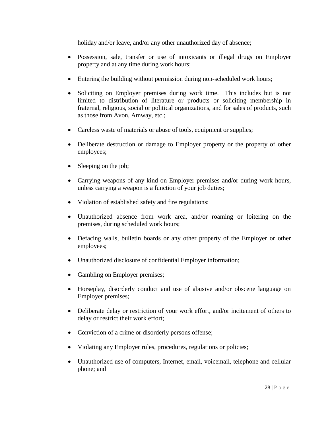holiday and/or leave, and/or any other unauthorized day of absence;

- Possession, sale, transfer or use of intoxicants or illegal drugs on Employer property and at any time during work hours;
- Entering the building without permission during non-scheduled work hours;
- Soliciting on Employer premises during work time. This includes but is not limited to distribution of literature or products or soliciting membership in fraternal, religious, social or political organizations, and for sales of products, such as those from Avon, Amway, etc.;
- Careless waste of materials or abuse of tools, equipment or supplies;
- Deliberate destruction or damage to Employer property or the property of other employees;
- Sleeping on the job;
- Carrying weapons of any kind on Employer premises and/or during work hours, unless carrying a weapon is a function of your job duties;
- Violation of established safety and fire regulations;
- Unauthorized absence from work area, and/or roaming or loitering on the premises, during scheduled work hours;
- Defacing walls, bulletin boards or any other property of the Employer or other employees;
- Unauthorized disclosure of confidential Employer information;
- Gambling on Employer premises;
- Horseplay, disorderly conduct and use of abusive and/or obscene language on Employer premises;
- Deliberate delay or restriction of your work effort, and/or incitement of others to delay or restrict their work effort;
- Conviction of a crime or disorderly persons offense;
- Violating any Employer rules, procedures, regulations or policies;
- Unauthorized use of computers, Internet, email, voicemail, telephone and cellular phone; and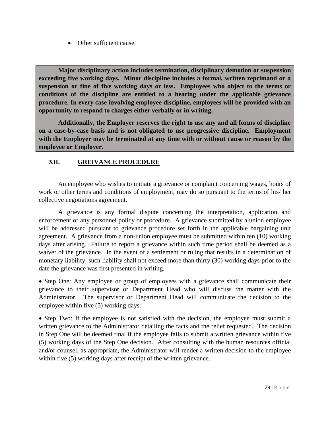• Other sufficient cause.

**Major disciplinary action includes termination, disciplinary demotion or suspension exceeding five working days. Minor discipline includes a formal, written reprimand or a suspension or fine of five working days or less. Employees who object to the terms or conditions of the discipline are entitled to a hearing under the applicable grievance procedure. In every case involving employee discipline, employees will be provided with an opportunity to respond to charges either verbally or in writing.** 

**Additionally, the Employer reserves the right to use any and all forms of discipline on a case-by-case basis and is not obligated to use progressive discipline. Employment with the Employer may be terminated at any time with or without cause or reason by the employee or Employer.**

## <span id="page-34-0"></span>**XII. GREIVANCE PROCEDURE**

An employee who wishes to initiate a grievance or complaint concerning wages, hours of work or other terms and conditions of employment, may do so pursuant to the terms of his/ her collective negotiations agreement.

A grievance is any formal dispute concerning the interpretation, application and enforcement of any personnel policy or procedure. A grievance submitted by a union employee will be addressed pursuant to grievance procedure set forth in the applicable bargaining unit agreement. A grievance from a non-union employee must be submitted within ten (10) working days after arising. Failure to report a grievance within such time period shall be deemed as a waiver of the grievance. In the event of a settlement or ruling that results in a determination of monetary liability, such liability shall not exceed more than thirty (30) working days prior to the date the grievance was first presented in writing.

• Step One: Any employee or group of employees with a grievance shall communicate their grievance to their supervisor or Department Head who will discuss the matter with the Administrator. The supervisor or Department Head will communicate the decision to the employee within five (5) working days.

• Step Two: If the employee is not satisfied with the decision, the employee must submit a written grievance to the Administrator detailing the facts and the relief requested. The decision in Step One will be deemed final if the employee fails to submit a written grievance within five (5) working days of the Step One decision. After consulting with the human resources official and/or counsel, as appropriate, the Administrator will render a written decision to the employee within five (5) working days after receipt of the written grievance.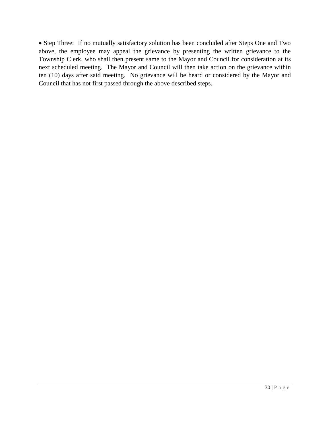Step Three: If no mutually satisfactory solution has been concluded after Steps One and Two above, the employee may appeal the grievance by presenting the written grievance to the Township Clerk, who shall then present same to the Mayor and Council for consideration at its next scheduled meeting. The Mayor and Council will then take action on the grievance within ten (10) days after said meeting. No grievance will be heard or considered by the Mayor and Council that has not first passed through the above described steps.